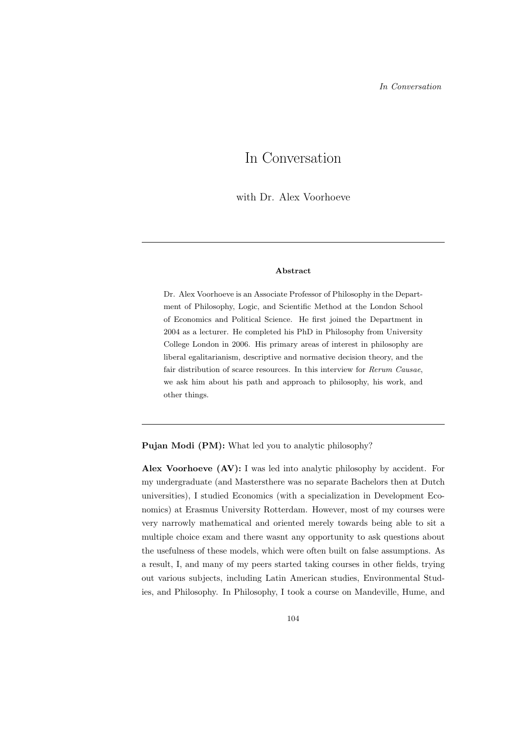# In Conversation

with Dr. Alex Voorhoeve

## Abstract

Dr. Alex Voorhoeve is an Associate Professor of Philosophy in the Department of Philosophy, Logic, and Scientific Method at the London School of Economics and Political Science. He first joined the Department in 2004 as a lecturer. He completed his PhD in Philosophy from University College London in 2006. His primary areas of interest in philosophy are liberal egalitarianism, descriptive and normative decision theory, and the fair distribution of scarce resources. In this interview for Rerum Causae, we ask him about his path and approach to philosophy, his work, and other things.

Pujan Modi (PM): What led you to analytic philosophy?

Alex Voorhoeve (AV): I was led into analytic philosophy by accident. For my undergraduate (and Mastersthere was no separate Bachelors then at Dutch universities), I studied Economics (with a specialization in Development Economics) at Erasmus University Rotterdam. However, most of my courses were very narrowly mathematical and oriented merely towards being able to sit a multiple choice exam and there wasnt any opportunity to ask questions about the usefulness of these models, which were often built on false assumptions. As a result, I, and many of my peers started taking courses in other fields, trying out various subjects, including Latin American studies, Environmental Studies, and Philosophy. In Philosophy, I took a course on Mandeville, Hume, and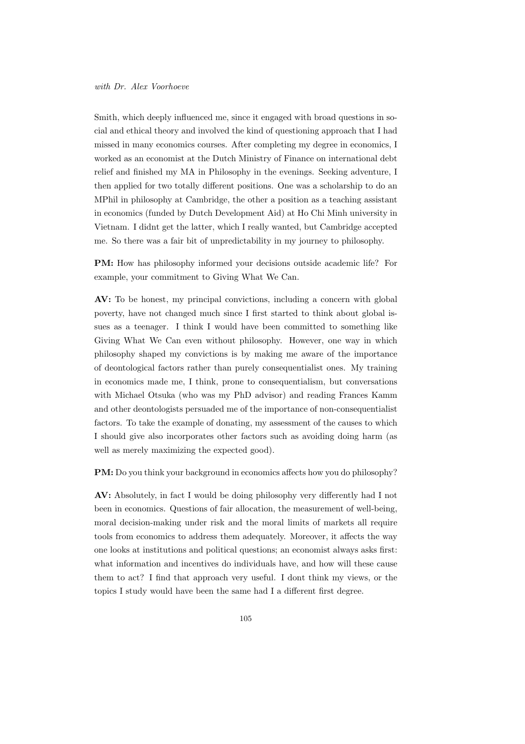Smith, which deeply influenced me, since it engaged with broad questions in social and ethical theory and involved the kind of questioning approach that I had missed in many economics courses. After completing my degree in economics, I worked as an economist at the Dutch Ministry of Finance on international debt relief and finished my MA in Philosophy in the evenings. Seeking adventure, I then applied for two totally different positions. One was a scholarship to do an MPhil in philosophy at Cambridge, the other a position as a teaching assistant in economics (funded by Dutch Development Aid) at Ho Chi Minh university in Vietnam. I didnt get the latter, which I really wanted, but Cambridge accepted me. So there was a fair bit of unpredictability in my journey to philosophy.

PM: How has philosophy informed your decisions outside academic life? For example, your commitment to Giving What We Can.

AV: To be honest, my principal convictions, including a concern with global poverty, have not changed much since I first started to think about global issues as a teenager. I think I would have been committed to something like Giving What We Can even without philosophy. However, one way in which philosophy shaped my convictions is by making me aware of the importance of deontological factors rather than purely consequentialist ones. My training in economics made me, I think, prone to consequentialism, but conversations with Michael Otsuka (who was my PhD advisor) and reading Frances Kamm and other deontologists persuaded me of the importance of non-consequentialist factors. To take the example of donating, my assessment of the causes to which I should give also incorporates other factors such as avoiding doing harm (as well as merely maximizing the expected good).

PM: Do you think your background in economics affects how you do philosophy?

AV: Absolutely, in fact I would be doing philosophy very differently had I not been in economics. Questions of fair allocation, the measurement of well-being, moral decision-making under risk and the moral limits of markets all require tools from economics to address them adequately. Moreover, it affects the way one looks at institutions and political questions; an economist always asks first: what information and incentives do individuals have, and how will these cause them to act? I find that approach very useful. I dont think my views, or the topics I study would have been the same had I a different first degree.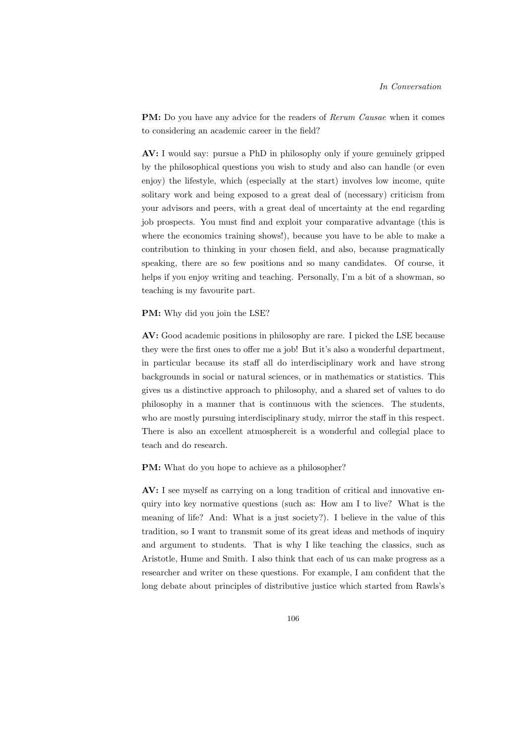PM: Do you have any advice for the readers of Rerum Causae when it comes to considering an academic career in the field?

AV: I would say: pursue a PhD in philosophy only if youre genuinely gripped by the philosophical questions you wish to study and also can handle (or even enjoy) the lifestyle, which (especially at the start) involves low income, quite solitary work and being exposed to a great deal of (necessary) criticism from your advisors and peers, with a great deal of uncertainty at the end regarding job prospects. You must find and exploit your comparative advantage (this is where the economics training shows!), because you have to be able to make a contribution to thinking in your chosen field, and also, because pragmatically speaking, there are so few positions and so many candidates. Of course, it helps if you enjoy writing and teaching. Personally, I'm a bit of a showman, so teaching is my favourite part.

## PM: Why did you join the LSE?

AV: Good academic positions in philosophy are rare. I picked the LSE because they were the first ones to offer me a job! But it's also a wonderful department, in particular because its staff all do interdisciplinary work and have strong backgrounds in social or natural sciences, or in mathematics or statistics. This gives us a distinctive approach to philosophy, and a shared set of values to do philosophy in a manner that is continuous with the sciences. The students, who are mostly pursuing interdisciplinary study, mirror the staff in this respect. There is also an excellent atmosphereit is a wonderful and collegial place to teach and do research.

# PM: What do you hope to achieve as a philosopher?

AV: I see myself as carrying on a long tradition of critical and innovative enquiry into key normative questions (such as: How am I to live? What is the meaning of life? And: What is a just society?). I believe in the value of this tradition, so I want to transmit some of its great ideas and methods of inquiry and argument to students. That is why I like teaching the classics, such as Aristotle, Hume and Smith. I also think that each of us can make progress as a researcher and writer on these questions. For example, I am confident that the long debate about principles of distributive justice which started from Rawls's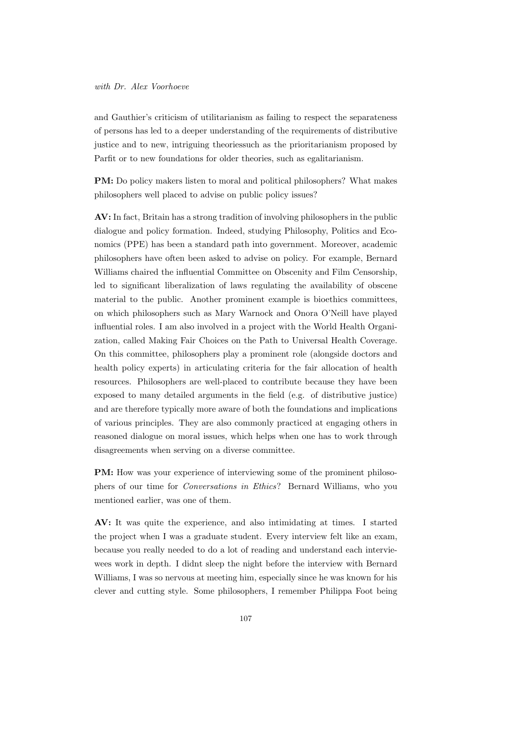## with Dr. Alex Voorhoeve

and Gauthier's criticism of utilitarianism as failing to respect the separateness of persons has led to a deeper understanding of the requirements of distributive justice and to new, intriguing theoriessuch as the prioritarianism proposed by Parfit or to new foundations for older theories, such as egalitarianism.

PM: Do policy makers listen to moral and political philosophers? What makes philosophers well placed to advise on public policy issues?

AV: In fact, Britain has a strong tradition of involving philosophers in the public dialogue and policy formation. Indeed, studying Philosophy, Politics and Economics (PPE) has been a standard path into government. Moreover, academic philosophers have often been asked to advise on policy. For example, Bernard Williams chaired the influential Committee on Obscenity and Film Censorship, led to significant liberalization of laws regulating the availability of obscene material to the public. Another prominent example is bioethics committees, on which philosophers such as Mary Warnock and Onora O'Neill have played influential roles. I am also involved in a project with the World Health Organization, called Making Fair Choices on the Path to Universal Health Coverage. On this committee, philosophers play a prominent role (alongside doctors and health policy experts) in articulating criteria for the fair allocation of health resources. Philosophers are well-placed to contribute because they have been exposed to many detailed arguments in the field (e.g. of distributive justice) and are therefore typically more aware of both the foundations and implications of various principles. They are also commonly practiced at engaging others in reasoned dialogue on moral issues, which helps when one has to work through disagreements when serving on a diverse committee.

PM: How was your experience of interviewing some of the prominent philosophers of our time for Conversations in Ethics? Bernard Williams, who you mentioned earlier, was one of them.

AV: It was quite the experience, and also intimidating at times. I started the project when I was a graduate student. Every interview felt like an exam, because you really needed to do a lot of reading and understand each interviewees work in depth. I didnt sleep the night before the interview with Bernard Williams, I was so nervous at meeting him, especially since he was known for his clever and cutting style. Some philosophers, I remember Philippa Foot being